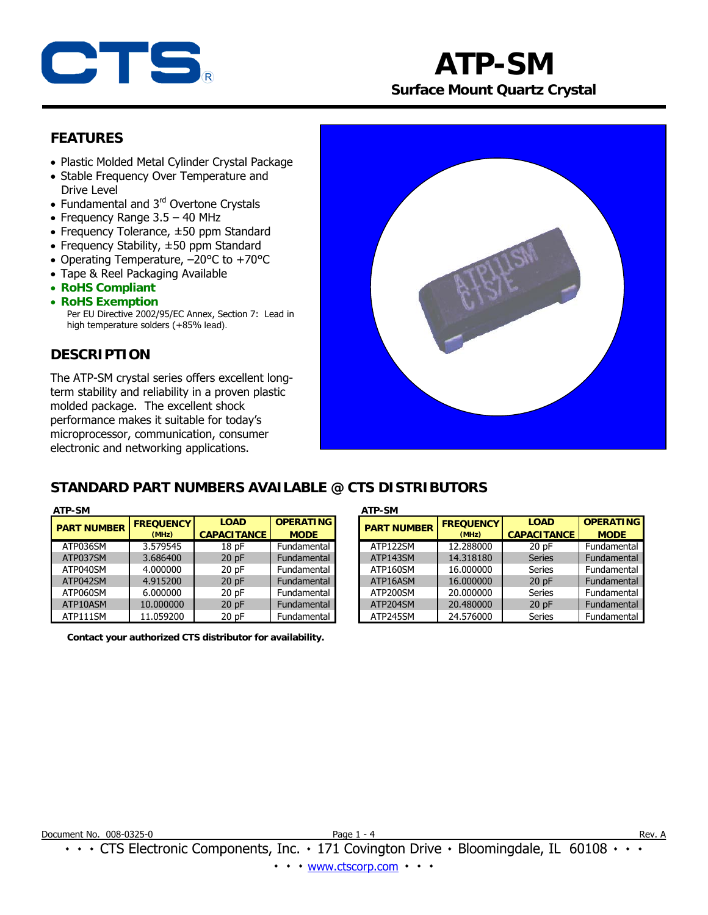

# **ATP-SM Surface Mount Quartz Crystal**

## **FEATURES**

- Plastic Molded Metal Cylinder Crystal Package
- Stable Frequency Over Temperature and Drive Level
- Fundamental and 3<sup>rd</sup> Overtone Crystals
- Frequency Range 3.5 40 MHz
- Frequency Tolerance, ±50 ppm Standard
- Frequency Stability, ±50 ppm Standard
- Operating Temperature, –20°C to +70°C
- Tape & Reel Packaging Available
- **RoHS Compliant**
- **RoHS Exemption**  Per EU Directive 2002/95/EC Annex, Section 7: Lead in high temperature solders (+85% lead).

## **DESCRIPTION**

The ATP-SM crystal series offers excellent longterm stability and reliability in a proven plastic molded package. The excellent shock performance makes it suitable for today's microprocessor, communication, consumer electronic and networking applications.



## **STANDARD PART NUMBERS AVAILABLE @ CTS DISTRIBUTORS**

| ATP-SM<br><b>ATP-SM</b> |                  |                    |                  |  |                   |
|-------------------------|------------------|--------------------|------------------|--|-------------------|
| <b>PART NUMBER</b>      | <b>FREQUENCY</b> | <b>LOAD</b>        | <b>OPERATING</b> |  | <b>PART N</b>     |
|                         | (MHz)            | <b>CAPACITANCE</b> | <b>MODE</b>      |  |                   |
| ATP036SM                | 3.579545         | 18 pF              | Fundamental      |  | ATP12             |
| ATP037SM                | 3.686400         | 20pF               | Fundamental      |  | ATP14             |
| ATP040SM                | 4.000000         | 20pF               | Fundamental      |  | ATP <sub>16</sub> |
| ATP042SM                | 4.915200         | 20pF               | Fundamental      |  | ATP <sub>16</sub> |
| ATP060SM                | 6.000000         | 20pF               | Fundamental      |  | ATP <sub>20</sub> |
| ATP10ASM                | 10.000000        | 20pF               | Fundamental      |  | ATP <sub>20</sub> |
| ATP111SM                | 11.059200        | 20pF               | Fundamental      |  | ATP <sub>24</sub> |

**Contact your authorized CTS distributor for availability.** 

| <b>ART NUMBER</b> | <b>FREQUENCY</b> | <b>LOAD</b>        | <b>OPERATING</b> |  | <b>PART NUMBER</b> | <b>FREQUENCY</b> | <b>LOAD</b>        | <b>OPERATING</b> |
|-------------------|------------------|--------------------|------------------|--|--------------------|------------------|--------------------|------------------|
|                   | (MHz)            | <b>CAPACITANCE</b> | <b>MODE</b>      |  |                    | (MHz)            | <b>CAPACITANCE</b> | <b>MODE</b>      |
| ATP036SM          | 3.579545         | 18pF               | Fundamental      |  | ATP122SM           | 12.288000        | 20 pF              | Fundamental I    |
| ATP037SM          | 3.686400         | 20pF               | Fundamental      |  | ATP143SM           | 14.318180        | <b>Series</b>      | Fundamental      |
| ATP040SM          | 4.000000         | 20pF               | Fundamental      |  | ATP160SM           | 16.000000        | <b>Series</b>      | Fundamental I    |
| ATP042SM          | 4.915200         | 20pF               | Fundamental      |  | ATP16ASM           | 16.000000        | 20pF               | Fundamental      |
| ATP060SM          | 6.000000         | 20pF               | Fundamental      |  | ATP200SM           | 20.000000        | <b>Series</b>      | Fundamental      |
| ATP10ASM          | 10.000000        | 20pF               | Fundamental      |  | ATP204SM           | 20,480000        | 20pF               | Fundamental      |
| ATP111SM          | 11.059200        | 20pF               | Fundamental      |  | ATP245SM           | 24.576000        | <b>Series</b>      | Fundamental      |

٠ ٠ ٠ CTS Electronic Components, Inc. ٠ 171 Covington Drive ٠ Bloomingdale, IL 60108 ٠ ٠ ٠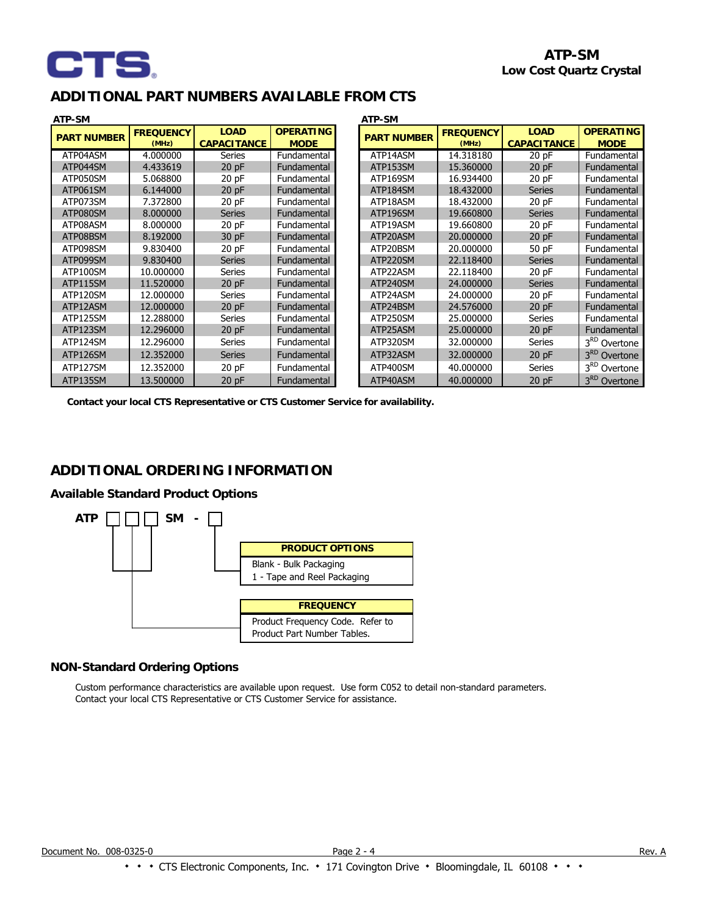

## **ADDITIONAL PART NUMBERS AVAILABLE FROM CTS**

| ATP-SM<br>ATP-SM   |                  |                    |                  |  |                    |                  |                    |                          |
|--------------------|------------------|--------------------|------------------|--|--------------------|------------------|--------------------|--------------------------|
| <b>PART NUMBER</b> | <b>FREQUENCY</b> | <b>LOAD</b>        | <b>OPERATING</b> |  | <b>PART NUMBER</b> | <b>FREQUENCY</b> | <b>LOAD</b>        | <b>OPERATING</b>         |
|                    | (MHz)            | <b>CAPACITANCE</b> | <b>MODE</b>      |  |                    | (MHz)            | <b>CAPACITANCE</b> | <b>MODE</b>              |
| ATP04ASM           | 4.000000         | <b>Series</b>      | Fundamental      |  | ATP14ASM           | 14.318180        | 20pF               | Fundamental              |
| ATP044SM           | 4.433619         | 20pF               | Fundamental      |  | ATP153SM           | 15.360000        | 20pF               | Fundamental              |
| ATP050SM           | 5.068800         | $20$ pF            | Fundamental      |  | ATP169SM           | 16.934400        | $20$ pF            | Fundamental              |
| ATP061SM           | 6.144000         | 20pF               | Fundamental      |  | ATP184SM           | 18,432000        | <b>Series</b>      | Fundamental              |
| ATP073SM           | 7.372800         | 20pF               | Fundamental      |  | ATP18ASM           | 18.432000        | 20pF               | Fundamental              |
| ATP080SM           | 8.000000         | <b>Series</b>      | Fundamental      |  | ATP196SM           | 19.660800        | <b>Series</b>      | Fundamental              |
| ATP08ASM           | 8.000000         | 20pF               | Fundamental      |  | ATP19ASM           | 19.660800        | 20pF               | Fundamental              |
| ATP08BSM           | 8.192000         | 30 pF              | Fundamental      |  | ATP20ASM           | 20,000000        | $20$ pF            | Fundamental              |
| ATP098SM           | 9.830400         | $20$ pF            | Fundamental      |  | ATP20BSM           | 20,000000        | 50 pF              | Fundamental              |
| ATP099SM           | 9.830400         | <b>Series</b>      | Fundamental      |  | ATP220SM           | 22.118400        | <b>Series</b>      | Fundamental              |
| ATP100SM           | 10.000000        | Series             | Fundamental      |  | ATP22ASM           | 22.118400        | $20$ pF            | Fundamental              |
| ATP115SM           | 11.520000        | 20pF               | Fundamental      |  | ATP240SM           | 24.000000        | <b>Series</b>      | Fundamental              |
| ATP120SM           | 12.000000        | Series             | Fundamental      |  | ATP24ASM           | 24.000000        | $20$ pF            | Fundamental              |
| ATP12ASM           | 12.000000        | 20pF               | Fundamental      |  | ATP24BSM           | 24.576000        | $20$ pF            | Fundamental              |
| ATP125SM           | 12.288000        | Series             | Fundamental      |  | ATP250SM           | 25,000000        | Series             | Fundamental              |
| ATP123SM           | 12.296000        | 20pF               | Fundamental      |  | ATP25ASM           | 25,000000        | $20$ pF            | Fundamental              |
| ATP124SM           | 12.296000        | <b>Series</b>      | Fundamental      |  | ATP320SM           | 32.000000        | Series             | 3 <sup>RD</sup> Overtone |
| ATP126SM           | 12.352000        | <b>Series</b>      | Fundamental      |  | ATP32ASM           | 32.000000        | $20$ pF            | 3 <sup>RD</sup> Overtone |
| ATP127SM           | 12.352000        | $20$ pF            | Fundamental      |  | ATP400SM           | 40.000000        | <b>Series</b>      | 3 <sup>RD</sup> Overtone |
| ATP135SM           | 13.500000        | 20pF               | Fundamental      |  | ATP40ASM           | 40.000000        | 20pF               | 3 <sup>RD</sup> Overtone |

**Contact your local CTS Representative or CTS Customer Service for availability.**

## **ADDITIONAL ORDERING INFORMATION**

#### **Available Standard Product Options**



### **NON-Standard Ordering Options**

 Custom performance characteristics are available upon request. Use form C052 to detail non-standard parameters. Contact your local CTS Representative or CTS Customer Service for assistance.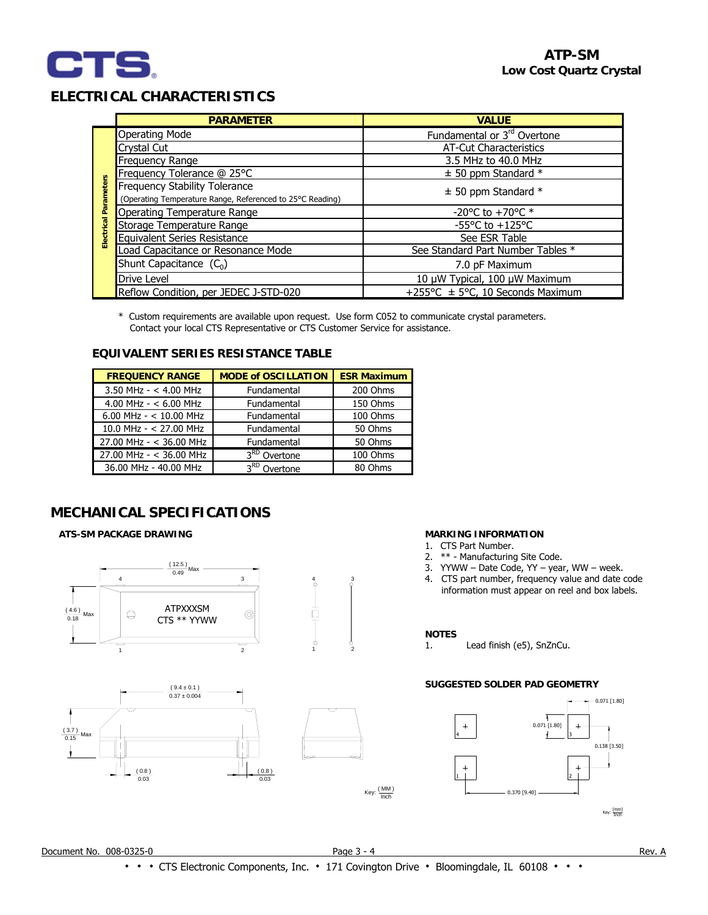

## **ELECTRICAL CHARACTERISTICS**

|                       | <b>PARAMETER</b>                                          | <b>VALUE</b>                            |  |  |
|-----------------------|-----------------------------------------------------------|-----------------------------------------|--|--|
|                       | <b>Operating Mode</b>                                     | Fundamental or 3 <sup>rd</sup> Overtone |  |  |
|                       | Crystal Cut                                               | <b>AT-Cut Characteristics</b>           |  |  |
|                       | Frequency Range                                           | 3.5 MHz to 40.0 MHz                     |  |  |
|                       | Frequency Tolerance @ 25°C                                | $\pm$ 50 ppm Standard *                 |  |  |
| Electrical Parameters | <b>Frequency Stability Tolerance</b>                      | $\pm$ 50 ppm Standard *                 |  |  |
|                       | (Operating Temperature Range, Referenced to 25°C Reading) |                                         |  |  |
|                       | Operating Temperature Range                               | -20°C to +70°C $*$                      |  |  |
|                       | Storage Temperature Range                                 | -55°C to $+125$ °C                      |  |  |
|                       | <b>Equivalent Series Resistance</b>                       | See ESR Table                           |  |  |
|                       | Load Capacitance or Resonance Mode                        | See Standard Part Number Tables *       |  |  |
|                       | Shunt Capacitance $(C_0)$                                 | 7.0 pF Maximum                          |  |  |
|                       | <b>Drive Level</b>                                        | 10 µW Typical, 100 µW Maximum           |  |  |
|                       | Reflow Condition, per JEDEC J-STD-020                     | +255°C ± 5°C, 10 Seconds Maximum        |  |  |

\* Custom requirements are available upon request. Use form C052 to communicate crystal parameters. Contact your local CTS Representative or CTS Customer Service for assistance.

### **EQUIVALENT SERIES RESISTANCE TABLE**

| <b>FREQUENCY RANGE</b>   | <b>MODE of OSCILLATION</b> | <b>ESR Maximum</b> |
|--------------------------|----------------------------|--------------------|
| 3.50 MHz - $<$ 4.00 MHz  | Fundamental                | 200 Ohms           |
| 4.00 MHz - $<$ 6.00 MHz  | Fundamental                | 150 Ohms           |
| 6.00 MHz - $<$ 10.00 MHz | Fundamental                | 100 Ohms           |
| 10.0 MHz - $<$ 27.00 MHz | Fundamental                | 50 Ohms            |
| 27.00 MHz - < 36.00 MHz  | Fundamental                | 50 Ohms            |
| 27.00 MHz - < 36.00 MHz  | $3RD$ Overtone             | 100 Ohms           |
| 36.00 MHz - 40.00 MHz    | 3 <sup>RD</sup> Overtone   | 80 Ohms            |

## **MECHANICAL SPECIFICATIONS**

#### **ATS-SM PACKAGE DRAWING**







#### **MARKING INFORMATION**

- 1. CTS Part Number.
- 2. \*\* Manufacturing Site Code.
- 3. YYWW Date Code, YY year, WW week.
- 4. CTS part number, frequency value and date code information must appear on reel and box labels.

#### **NOTES**

1. Lead finish (e5), SnZnCu.

## **SUGGESTED SOLDER PAD GEOMETRY**



Key:  $\frac{(MM)}{Inch}$